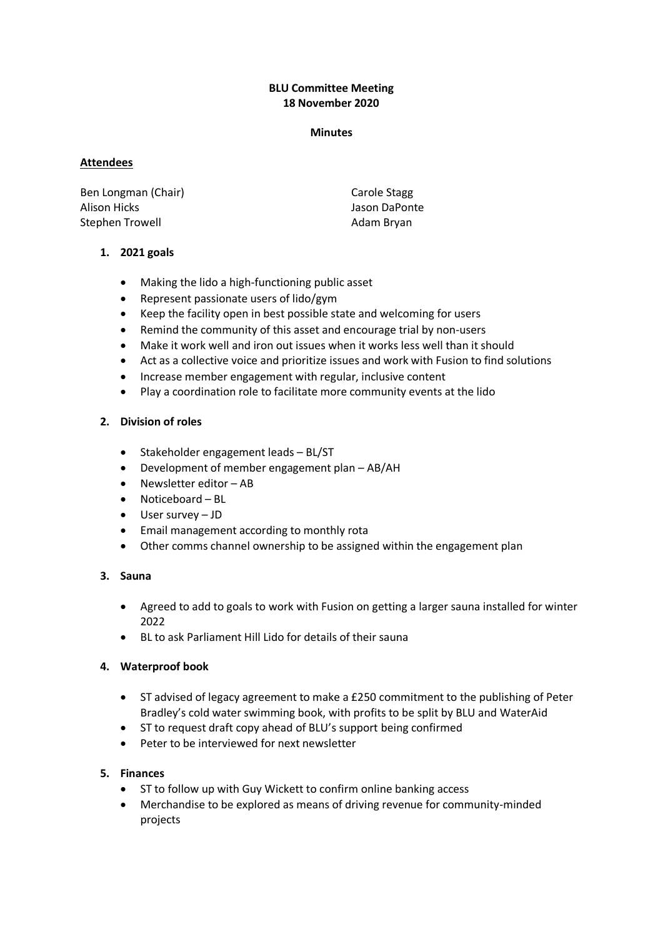# **BLU Committee Meeting 18 November 2020**

#### **Minutes**

#### **Attendees**

Ben Longman (Chair) Alison Hicks Stephen Trowell

Carole Stagg Jason DaPonte Adam Bryan

# **1. 2021 goals**

- Making the lido a high-functioning public asset
- Represent passionate users of lido/gym
- Keep the facility open in best possible state and welcoming for users
- Remind the community of this asset and encourage trial by non-users
- Make it work well and iron out issues when it works less well than it should
- Act as a collective voice and prioritize issues and work with Fusion to find solutions
- Increase member engagement with regular, inclusive content
- Play a coordination role to facilitate more community events at the lido

# **2. Division of roles**

- Stakeholder engagement leads BL/ST
- Development of member engagement plan AB/AH
- Newsletter editor AB
- Noticeboard BL
- User survey JD
- Email management according to monthly rota
- Other comms channel ownership to be assigned within the engagement plan

# **3. Sauna**

- Agreed to add to goals to work with Fusion on getting a larger sauna installed for winter 2022
- BL to ask Parliament Hill Lido for details of their sauna

# **4. Waterproof book**

- ST advised of legacy agreement to make a £250 commitment to the publishing of Peter Bradley's cold water swimming book, with profits to be split by BLU and WaterAid
- ST to request draft copy ahead of BLU's support being confirmed
- Peter to be interviewed for next newsletter

# **5. Finances**

- ST to follow up with Guy Wickett to confirm online banking access
- Merchandise to be explored as means of driving revenue for community-minded projects